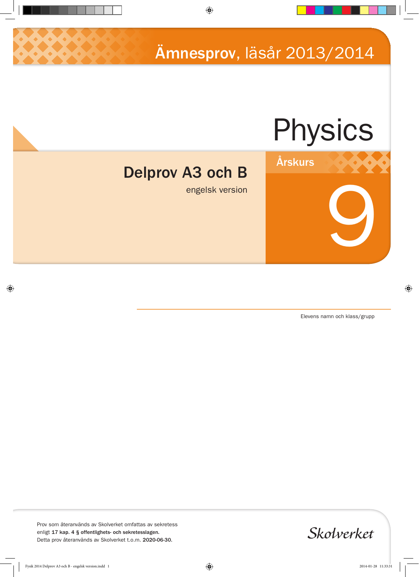Ämnesprov, läsår 2013/2014

# Physics

Årskurs



engelsk version

Elevens namn och klass/grupp

9

Prov som återanvänds av Skolverket omfattas av sekretess enligt 17 kap. 4 § offentlighets- och sekretesslagen. Detta prov återanvänds av Skolverket t.o.m. 2020-06-30.

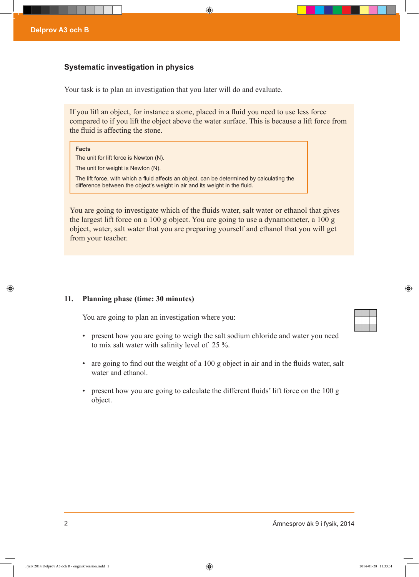## **Systematic investigation in physics**

Your task is to plan an investigation that you later will do and evaluate.

If you lift an object, for instance a stone, placed in a fluid you need to use less force compared to if you lift the object above the water surface. This is because a lift force from the fluid is affecting the stone.

#### **Facts**

The unit for lift force is Newton (N).

The unit for weight is Newton (N).

The lift force, with which a fluid affects an object, can be determined by calculating the difference between the object's weight in air and its weight in the fluid.

You are going to investigate which of the fluids water, salt water or ethanol that gives the largest lift force on a 100 g object. You are going to use a dynamometer, a 100 g object, water, salt water that you are preparing yourself and ethanol that you will get from your teacher.

#### **11. Planning phase (time: 30 minutes)**

You are going to plan an investigation where you:

- present how you are going to weigh the salt sodium chloride and water you need to mix salt water with salinity level of 25 %.
- are going to find out the weight of a 100 g object in air and in the fluids water, salt water and ethanol
- present how you are going to calculate the different fluids' lift force on the 100 g object.

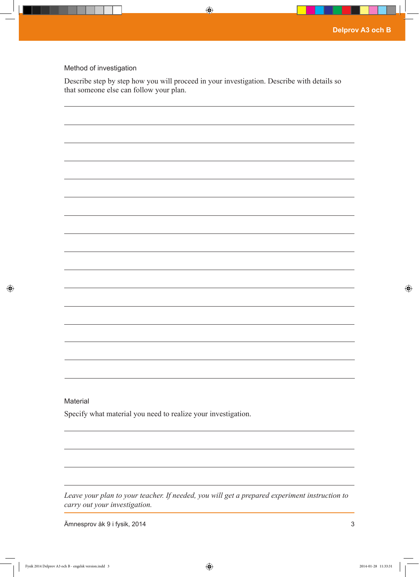### Method of investigation

Describe step by step how you will proceed in your investigation. Describe with details so that someone else can follow your plan.

| Material                                                      |  |
|---------------------------------------------------------------|--|
|                                                               |  |
| Specify what material you need to realize your investigation. |  |
|                                                               |  |
|                                                               |  |
|                                                               |  |
|                                                               |  |
|                                                               |  |

*Leave your plan to your teacher. If needed, you will get a prepared experiment instruction to carry out your investigation.*

Ämnesprov åk 9 i fysik, 2014 3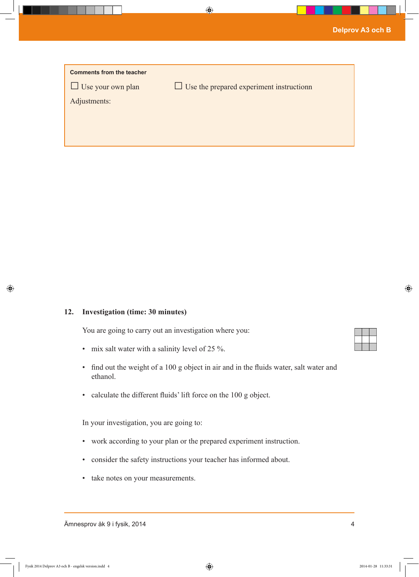| <b>Comments from the teacher</b> |                                                 |
|----------------------------------|-------------------------------------------------|
| $\Box$ Use your own plan         | $\Box$ Use the prepared experiment instructionn |
| Adjustments:                     |                                                 |
|                                  |                                                 |
|                                  |                                                 |
|                                  |                                                 |

## **12. Investigation (time: 30 minutes)**

You are going to carry out an investigation where you:

- mix salt water with a salinity level of 25 %.
- find out the weight of a 100 g object in air and in the fluids water, salt water and ethanol.
- calculate the different fluids' lift force on the 100 g object.

In your investigation, you are going to:

- work according to your plan or the prepared experiment instruction.
- consider the safety instructions your teacher has informed about.
- take notes on your measurements.